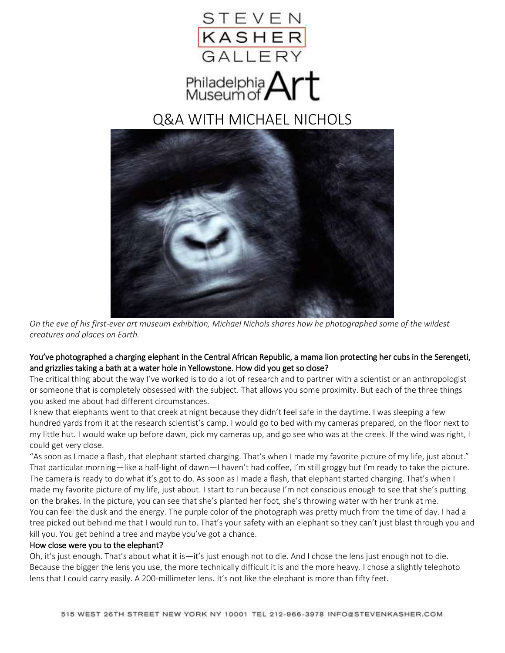



# Q&A WITH MICHAEL NICHOLS



*On the eve of his first-ever art museum exhibition, Michael Nichols shares how he photographed some of the wildest creatures and places on Earth.*

# You've photographed a charging elephant in the Central African Republic, a mama lion protecting her cubs in the Serengeti, and grizzlies taking a bath at a water hole in Yellowstone. How did you get so close?

The critical thing about the way I've worked is to do a lot of research and to partner with a scientist or an anthropologist or someone that is completely obsessed with the subject. That allows you some proximity. But each of the three things you asked me about had different circumstances.

I knew that elephants went to that creek at night because they didn't feel safe in the daytime. I was sleeping a few hundred yards from it at the research scientist's camp. I would go to bed with my cameras prepared, on the floor next to my little hut. I would wake up before dawn, pick my cameras up, and go see who was at the creek. If the wind was right, I could get very close.

"As soon as I made a flash, that elephant started charging. That's when I made my favorite picture of my life, just about." That particular morning—like a half-light of dawn—I haven't had coffee, I'm still groggy but I'm ready to take the picture. The camera is ready to do what it's got to do. As soon as I made a flash, that elephant started charging. That's when I made my favorite picture of my life, just about. I start to run because I'm not conscious enough to see that she's putting on the brakes. In the picture, you can see that she's planted her foot, she's throwing water with her trunk at me. You can feel the dusk and the energy. The purple color of the photograph was pretty much from the time of day. I had a tree picked out behind me that I would run to. That's your safety with an elephant so they can't just blast through you and kill you. You get behind a tree and maybe you've got a chance.

### How close were you to the elephant?

Oh, it's just enough. That's about what it is—it's just enough not to die. And I chose the lens just enough not to die. Because the bigger the lens you use, the more technically difficult it is and the more heavy. I chose a slightly telephoto lens that I could carry easily. A 200-millimeter lens. It's not like the elephant is more than fifty feet.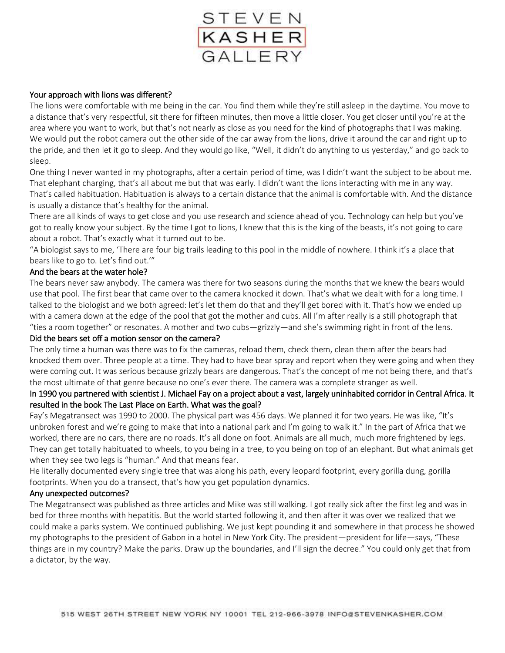

## Your approach with lions was different?

The lions were comfortable with me being in the car. You find them while they're still asleep in the daytime. You move to a distance that's very respectful, sit there for fifteen minutes, then move a little closer. You get closer until you're at the area where you want to work, but that's not nearly as close as you need for the kind of photographs that I was making. We would put the robot camera out the other side of the car away from the lions, drive it around the car and right up to the pride, and then let it go to sleep. And they would go like, "Well, it didn't do anything to us yesterday," and go back to sleep.

One thing I never wanted in my photographs, after a certain period of time, was I didn't want the subject to be about me. That elephant charging, that's all about me but that was early. I didn't want the lions interacting with me in any way. That's called habituation. Habituation is always to a certain distance that the animal is comfortable with. And the distance is usually a distance that's healthy for the animal.

There are all kinds of ways to get close and you use research and science ahead of you. Technology can help but you've got to really know your subject. By the time I got to lions, I knew that this is the king of the beasts, it's not going to care about a robot. That's exactly what it turned out to be.

"A biologist says to me, 'There are four big trails leading to this pool in the middle of nowhere. I think it's a place that bears like to go to. Let's find out.'"

## And the bears at the water hole?

The bears never saw anybody. The camera was there for two seasons during the months that we knew the bears would use that pool. The first bear that came over to the camera knocked it down. That's what we dealt with for a long time. I talked to the biologist and we both agreed: let's let them do that and they'll get bored with it. That's how we ended up with a camera down at the edge of the pool that got the mother and cubs. All I'm after really is a still photograph that "ties a room together" or resonates. A mother and two cubs—grizzly—and she's swimming right in front of the lens.

### Did the bears set off a motion sensor on the camera?

The only time a human was there was to fix the cameras, reload them, check them, clean them after the bears had knocked them over. Three people at a time. They had to have bear spray and report when they were going and when they were coming out. It was serious because grizzly bears are dangerous. That's the concept of me not being there, and that's the most ultimate of that genre because no one's ever there. The camera was a complete stranger as well.

# In 1990 you partnered with scientist J. Michael Fay on a project about a vast, largely uninhabited corridor in Central Africa. It resulted in the book The Last Place on Earth. What was the goal?

Fay's Megatransect was 1990 to 2000. The physical part was 456 days. We planned it for two years. He was like, "It's unbroken forest and we're going to make that into a national park and I'm going to walk it." In the part of Africa that we worked, there are no cars, there are no roads. It's all done on foot. Animals are all much, much more frightened by legs. They can get totally habituated to wheels, to you being in a tree, to you being on top of an elephant. But what animals get when they see two legs is "human." And that means fear.

He literally documented every single tree that was along his path, every leopard footprint, every gorilla dung, gorilla footprints. When you do a transect, that's how you get population dynamics.

### Any unexpected outcomes?

The Megatransect was published as three articles and Mike was still walking. I got really sick after the first leg and was in bed for three months with hepatitis. But the world started following it, and then after it was over we realized that we could make a parks system. We continued publishing. We just kept pounding it and somewhere in that process he showed my photographs to the president of Gabon in a hotel in New York City. The president—president for life—says, "These things are in my country? Make the parks. Draw up the boundaries, and I'll sign the decree." You could only get that from a dictator, by the way.